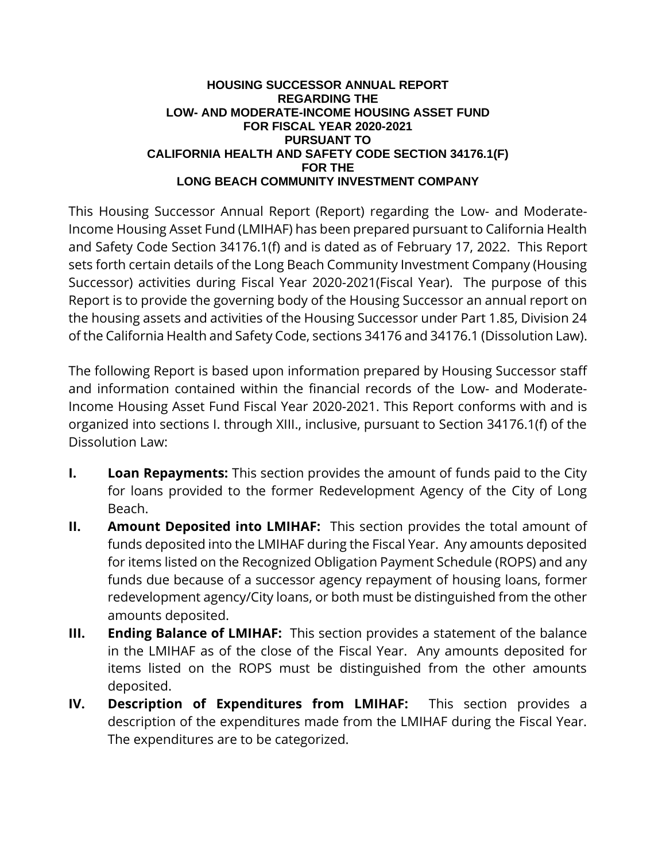#### **HOUSING SUCCESSOR ANNUAL REPORT REGARDING THE LOW- AND MODERATE-INCOME HOUSING ASSET FUND FOR FISCAL YEAR 2020-2021 PURSUANT TO CALIFORNIA HEALTH AND SAFETY CODE SECTION 34176.1(F) FOR THE LONG BEACH COMMUNITY INVESTMENT COMPANY**

This Housing Successor Annual Report (Report) regarding the Low- and Moderate-Income Housing Asset Fund (LMIHAF) has been prepared pursuant to California Health and Safety Code Section 34176.1(f) and is dated as of February 17, 2022. This Report sets forth certain details of the Long Beach Community Investment Company (Housing Successor) activities during Fiscal Year 2020-2021(Fiscal Year). The purpose of this Report is to provide the governing body of the Housing Successor an annual report on the housing assets and activities of the Housing Successor under Part 1.85, Division 24 of the California Health and Safety Code, sections 34176 and 34176.1 (Dissolution Law).

The following Report is based upon information prepared by Housing Successor staff and information contained within the financial records of the Low- and Moderate-Income Housing Asset Fund Fiscal Year 2020-2021. This Report conforms with and is organized into sections I. through XIII., inclusive, pursuant to Section 34176.1(f) of the Dissolution Law:

- **I. Loan Repayments:** This section provides the amount of funds paid to the City for loans provided to the former Redevelopment Agency of the City of Long Beach.
- **II. Amount Deposited into LMIHAF:** This section provides the total amount of funds deposited into the LMIHAF during the Fiscal Year. Any amounts deposited for items listed on the Recognized Obligation Payment Schedule (ROPS) and any funds due because of a successor agency repayment of housing loans, former redevelopment agency/City loans, or both must be distinguished from the other amounts deposited.
- **III. Ending Balance of LMIHAF:** This section provides a statement of the balance in the LMIHAF as of the close of the Fiscal Year. Any amounts deposited for items listed on the ROPS must be distinguished from the other amounts deposited.
- **IV. Description of Expenditures from LMIHAF:** This section provides a description of the expenditures made from the LMIHAF during the Fiscal Year. The expenditures are to be categorized.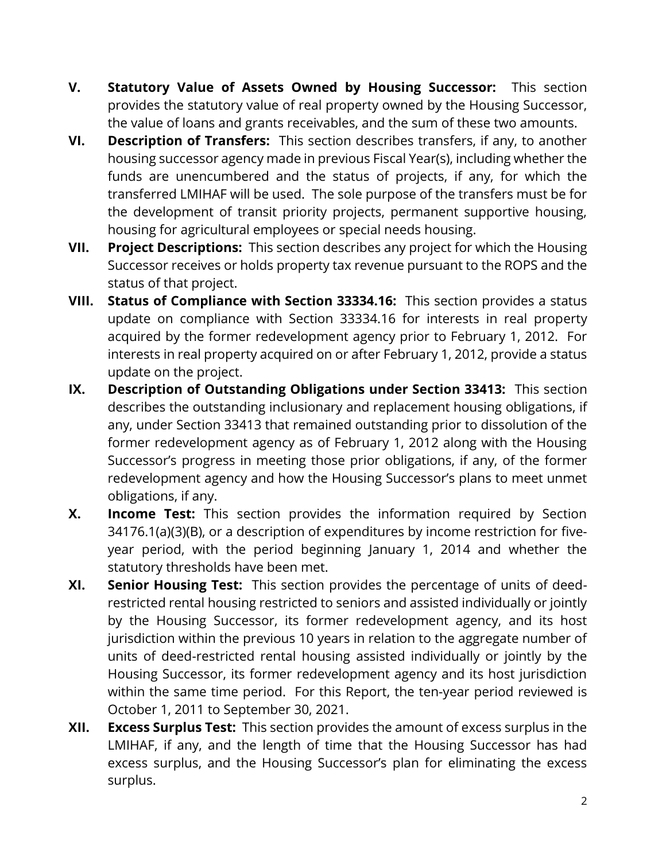- **V. Statutory Value of Assets Owned by Housing Successor:** This section provides the statutory value of real property owned by the Housing Successor, the value of loans and grants receivables, and the sum of these two amounts.
- **VI. Description of Transfers:** This section describes transfers, if any, to another housing successor agency made in previous Fiscal Year(s), including whether the funds are unencumbered and the status of projects, if any, for which the transferred LMIHAF will be used. The sole purpose of the transfers must be for the development of transit priority projects, permanent supportive housing, housing for agricultural employees or special needs housing.
- **VII. Project Descriptions:** This section describes any project for which the Housing Successor receives or holds property tax revenue pursuant to the ROPS and the status of that project.
- **VIII. Status of Compliance with Section 33334.16:** This section provides a status update on compliance with Section 33334.16 for interests in real property acquired by the former redevelopment agency prior to February 1, 2012. For interests in real property acquired on or after February 1, 2012, provide a status update on the project.
- **IX. Description of Outstanding Obligations under Section 33413:** This section describes the outstanding inclusionary and replacement housing obligations, if any, under Section 33413 that remained outstanding prior to dissolution of the former redevelopment agency as of February 1, 2012 along with the Housing Successor's progress in meeting those prior obligations, if any, of the former redevelopment agency and how the Housing Successor's plans to meet unmet obligations, if any.
- **X. Income Test:** This section provides the information required by Section 34176.1(a)(3)(B), or a description of expenditures by income restriction for fiveyear period, with the period beginning January 1, 2014 and whether the statutory thresholds have been met.
- **XI. Senior Housing Test:** This section provides the percentage of units of deedrestricted rental housing restricted to seniors and assisted individually or jointly by the Housing Successor, its former redevelopment agency, and its host jurisdiction within the previous 10 years in relation to the aggregate number of units of deed-restricted rental housing assisted individually or jointly by the Housing Successor, its former redevelopment agency and its host jurisdiction within the same time period. For this Report, the ten-year period reviewed is October 1, 2011 to September 30, 2021.
- **XII. Excess Surplus Test:** This section provides the amount of excess surplus in the LMIHAF, if any, and the length of time that the Housing Successor has had excess surplus, and the Housing Successor's plan for eliminating the excess surplus.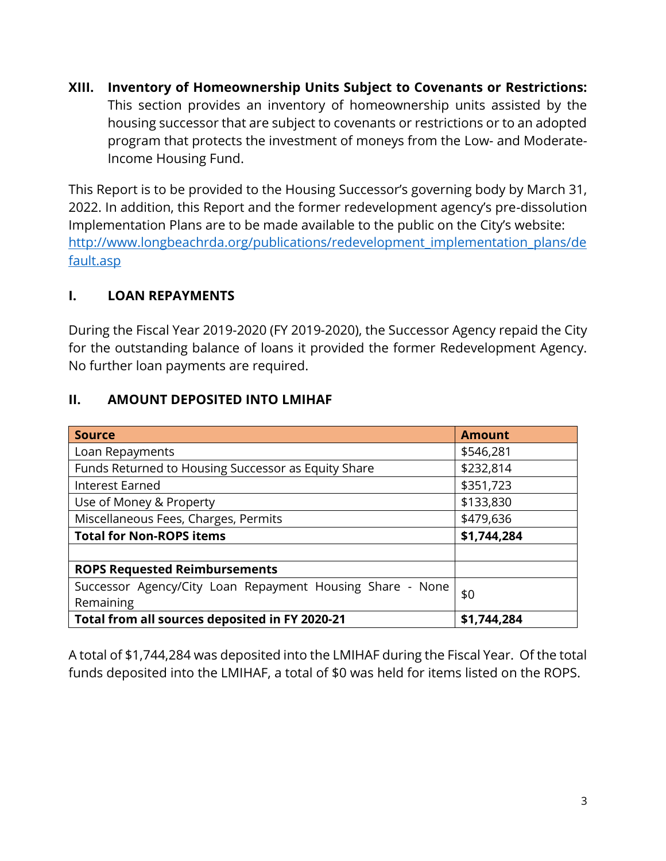**XIII. Inventory of Homeownership Units Subject to Covenants or Restrictions:** This section provides an inventory of homeownership units assisted by the housing successor that are subject to covenants or restrictions or to an adopted program that protects the investment of moneys from the Low- and Moderate-Income Housing Fund.

This Report is to be provided to the Housing Successor's governing body by March 31, 2022. In addition, this Report and the former redevelopment agency's pre-dissolution Implementation Plans are to be made available to the public on the City's website: [http://www.longbeachrda.org/publications/redevelopment\\_implementation\\_plans/de](http://www.longbeachrda.org/publications/redevelopment_implementation_plans/default.asp) [fault.asp](http://www.longbeachrda.org/publications/redevelopment_implementation_plans/default.asp)

## **I. LOAN REPAYMENTS**

During the Fiscal Year 2019-2020 (FY 2019-2020), the Successor Agency repaid the City for the outstanding balance of loans it provided the former Redevelopment Agency. No further loan payments are required.

#### **II. AMOUNT DEPOSITED INTO LMIHAF**

| <b>Source</b>                                             | <b>Amount</b> |
|-----------------------------------------------------------|---------------|
| Loan Repayments                                           | \$546,281     |
| Funds Returned to Housing Successor as Equity Share       | \$232,814     |
| Interest Earned                                           | \$351,723     |
| Use of Money & Property                                   | \$133,830     |
| Miscellaneous Fees, Charges, Permits                      | \$479,636     |
| <b>Total for Non-ROPS items</b>                           | \$1,744,284   |
|                                                           |               |
| <b>ROPS Requested Reimbursements</b>                      |               |
| Successor Agency/City Loan Repayment Housing Share - None |               |
| Remaining                                                 | \$0           |
| Total from all sources deposited in FY 2020-21            | \$1,744,284   |

A total of \$1,744,284 was deposited into the LMIHAF during the Fiscal Year. Of the total funds deposited into the LMIHAF, a total of \$0 was held for items listed on the ROPS.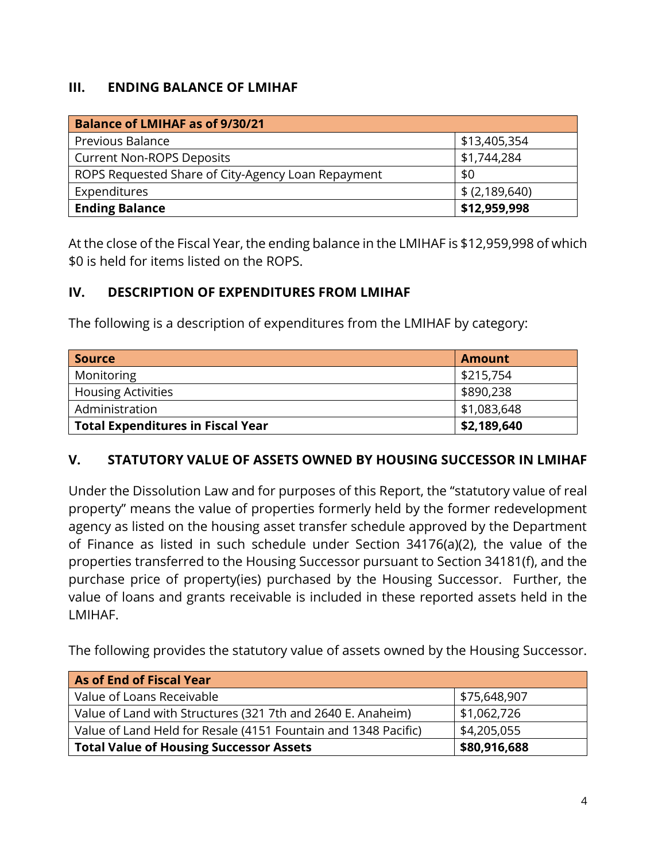#### **III. ENDING BALANCE OF LMIHAF**

| <b>Balance of LMIHAF as of 9/30/21</b>             |                |
|----------------------------------------------------|----------------|
| Previous Balance                                   | \$13,405,354   |
| <b>Current Non-ROPS Deposits</b>                   | \$1,744,284    |
| ROPS Requested Share of City-Agency Loan Repayment | \$0            |
| Expenditures                                       | \$ (2,189,640) |
| <b>Ending Balance</b>                              | \$12,959,998   |

At the close of the Fiscal Year, the ending balance in the LMIHAF is \$12,959,998 of which \$0 is held for items listed on the ROPS.

#### **IV. DESCRIPTION OF EXPENDITURES FROM LMIHAF**

The following is a description of expenditures from the LMIHAF by category:

| <b>Source</b>                            | <b>Amount</b> |
|------------------------------------------|---------------|
| Monitoring                               | \$215,754     |
| <b>Housing Activities</b>                | \$890,238     |
| Administration                           | \$1,083,648   |
| <b>Total Expenditures in Fiscal Year</b> | \$2,189,640   |

#### **V. STATUTORY VALUE OF ASSETS OWNED BY HOUSING SUCCESSOR IN LMIHAF**

Under the Dissolution Law and for purposes of this Report, the "statutory value of real property" means the value of properties formerly held by the former redevelopment agency as listed on the housing asset transfer schedule approved by the Department of Finance as listed in such schedule under Section 34176(a)(2), the value of the properties transferred to the Housing Successor pursuant to Section 34181(f), and the purchase price of property(ies) purchased by the Housing Successor. Further, the value of loans and grants receivable is included in these reported assets held in the LMIHAF.

The following provides the statutory value of assets owned by the Housing Successor.

| <b>As of End of Fiscal Year</b>                                |              |
|----------------------------------------------------------------|--------------|
| Value of Loans Receivable                                      | \$75,648,907 |
| Value of Land with Structures (321 7th and 2640 E. Anaheim)    | \$1,062,726  |
| Value of Land Held for Resale (4151 Fountain and 1348 Pacific) | \$4,205,055  |
| <b>Total Value of Housing Successor Assets</b>                 | \$80,916,688 |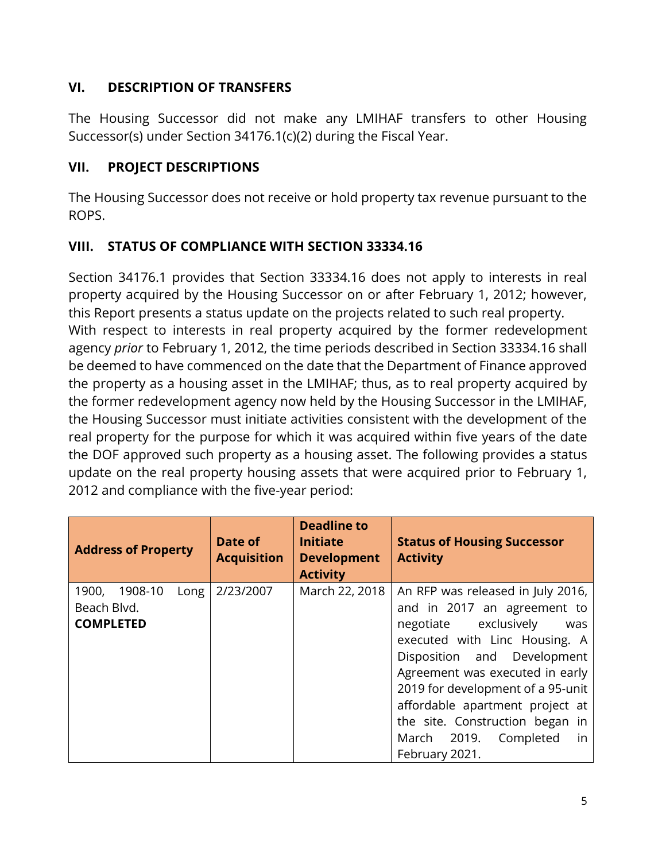# **VI. DESCRIPTION OF TRANSFERS**

The Housing Successor did not make any LMIHAF transfers to other Housing Successor(s) under Section 34176.1(c)(2) during the Fiscal Year.

#### **VII. PROJECT DESCRIPTIONS**

The Housing Successor does not receive or hold property tax revenue pursuant to the ROPS.

## **VIII. STATUS OF COMPLIANCE WITH SECTION 33334.16**

Section 34176.1 provides that Section 33334.16 does not apply to interests in real property acquired by the Housing Successor on or after February 1, 2012; however, this Report presents a status update on the projects related to such real property. With respect to interests in real property acquired by the former redevelopment agency *prior* to February 1, 2012, the time periods described in Section 33334.16 shall be deemed to have commenced on the date that the Department of Finance approved the property as a housing asset in the LMIHAF; thus, as to real property acquired by the former redevelopment agency now held by the Housing Successor in the LMIHAF, the Housing Successor must initiate activities consistent with the development of the real property for the purpose for which it was acquired within five years of the date the DOF approved such property as a housing asset. The following provides a status update on the real property housing assets that were acquired prior to February 1, 2012 and compliance with the five-year period:

| <b>Address of Property</b>                                  | Date of<br><b>Acquisition</b> | <b>Deadline to</b><br><b>Initiate</b><br><b>Development</b><br><b>Activity</b> | <b>Status of Housing Successor</b><br><b>Activity</b>                                                                                                                                                                                                                                                                                                            |
|-------------------------------------------------------------|-------------------------------|--------------------------------------------------------------------------------|------------------------------------------------------------------------------------------------------------------------------------------------------------------------------------------------------------------------------------------------------------------------------------------------------------------------------------------------------------------|
| 1900,<br>1908-10<br>Long<br>Beach Blvd.<br><b>COMPLETED</b> | 2/23/2007                     | March 22, 2018                                                                 | An RFP was released in July 2016,<br>and in 2017 an agreement to<br>negotiate exclusively<br>was<br>executed with Linc Housing. A<br>Disposition and Development<br>Agreement was executed in early<br>2019 for development of a 95-unit<br>affordable apartment project at<br>the site. Construction began in<br>March 2019. Completed<br>in.<br>February 2021. |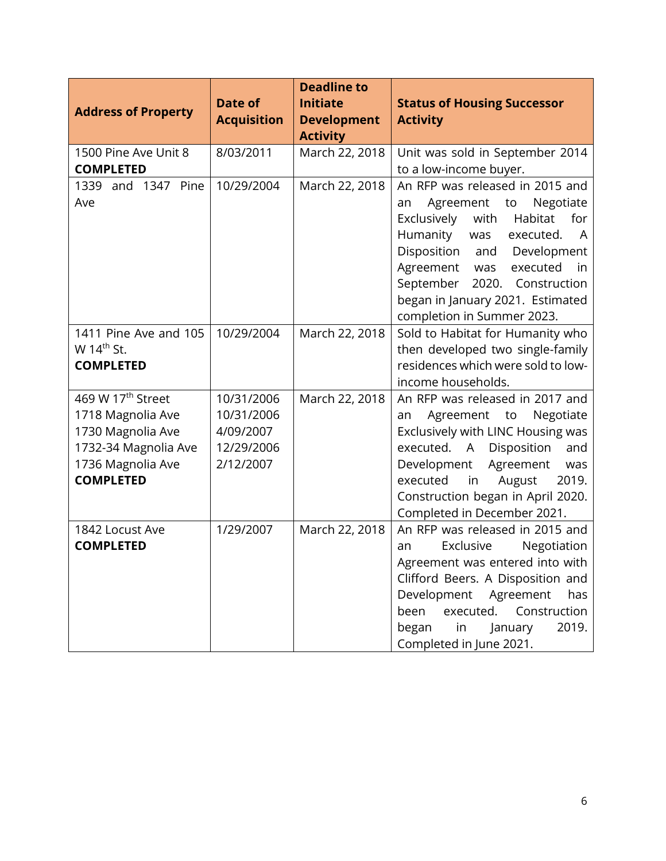| <b>Address of Property</b>                                                                                                               | <b>Date of</b><br><b>Acquisition</b>                             | <b>Deadline to</b><br><b>Initiate</b><br><b>Development</b><br><b>Activity</b> | <b>Status of Housing Successor</b><br><b>Activity</b>                                                                                                                                                                                                                                                                      |
|------------------------------------------------------------------------------------------------------------------------------------------|------------------------------------------------------------------|--------------------------------------------------------------------------------|----------------------------------------------------------------------------------------------------------------------------------------------------------------------------------------------------------------------------------------------------------------------------------------------------------------------------|
| 1500 Pine Ave Unit 8<br><b>COMPLETED</b>                                                                                                 | 8/03/2011                                                        | March 22, 2018                                                                 | Unit was sold in September 2014<br>to a low-income buyer.                                                                                                                                                                                                                                                                  |
| 1339 and 1347 Pine<br>Ave                                                                                                                | 10/29/2004                                                       | March 22, 2018                                                                 | An RFP was released in 2015 and<br>Negotiate<br>Agreement to<br>an<br>Exclusively with<br>Habitat<br>for<br>Humanity<br>executed.<br>was<br>A<br>Disposition<br>and Development<br>Agreement<br>executed<br>was<br>in<br>September<br>2020. Construction<br>began in January 2021. Estimated<br>completion in Summer 2023. |
| 1411 Pine Ave and 105<br>W 14 <sup>th</sup> St.<br><b>COMPLETED</b>                                                                      | 10/29/2004                                                       | March 22, 2018                                                                 | Sold to Habitat for Humanity who<br>then developed two single-family<br>residences which were sold to low-<br>income households.                                                                                                                                                                                           |
| 469 W 17 <sup>th</sup> Street<br>1718 Magnolia Ave<br>1730 Magnolia Ave<br>1732-34 Magnolia Ave<br>1736 Magnolia Ave<br><b>COMPLETED</b> | 10/31/2006<br>10/31/2006<br>4/09/2007<br>12/29/2006<br>2/12/2007 | March 22, 2018                                                                 | An RFP was released in 2017 and<br>Agreement to<br>Negotiate<br>an<br>Exclusively with LINC Housing was<br>executed. A<br>Disposition<br>and<br>Development<br>Agreement<br>was<br>August<br>executed<br>in<br>2019.<br>Construction began in April 2020.<br>Completed in December 2021.                                   |
| 1842 Locust Ave<br><b>COMPLETED</b>                                                                                                      | 1/29/2007                                                        | March 22, 2018                                                                 | An RFP was released in 2015 and<br>Exclusive<br>Negotiation<br>an<br>Agreement was entered into with<br>Clifford Beers. A Disposition and<br>Development<br>Agreement<br>has<br>Construction<br>executed.<br>been<br>began<br>in<br>January<br>2019.<br>Completed in June 2021.                                            |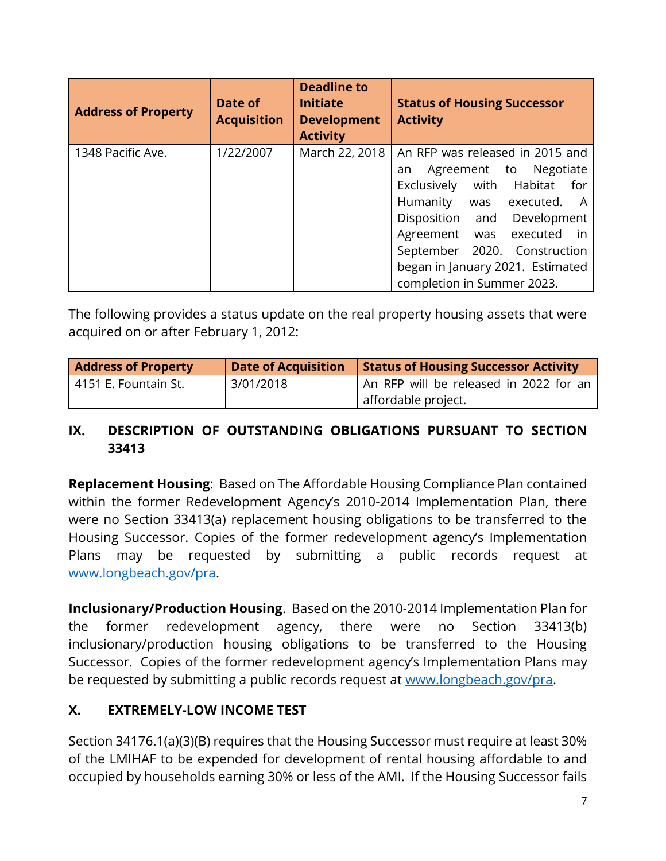| <b>Address of Property</b> | Date of<br><b>Acquisition</b> | <b>Deadline to</b><br><b>Initiate</b><br><b>Development</b><br><b>Activity</b> | <b>Status of Housing Successor</b><br><b>Activity</b>                                                       |
|----------------------------|-------------------------------|--------------------------------------------------------------------------------|-------------------------------------------------------------------------------------------------------------|
| 1348 Pacific Ave.          | 1/22/2007                     | March 22, 2018                                                                 | An RFP was released in 2015 and<br>Negotiate<br>Agreement to<br>an<br>Exclusively<br>with<br>Habitat<br>for |
|                            |                               |                                                                                | Humanity<br>was executed.<br>A<br>Disposition and<br>Development                                            |
|                            |                               |                                                                                | Agreement<br>executed<br>in<br>was<br>September 2020. Construction                                          |
|                            |                               |                                                                                | began in January 2021. Estimated<br>completion in Summer 2023.                                              |

The following provides a status update on the real property housing assets that were acquired on or after February 1, 2012:

| <b>Address of Property</b> | <b>Date of Acquisition</b> | <b>Status of Housing Successor Activity</b> |
|----------------------------|----------------------------|---------------------------------------------|
| 14151 E. Fountain St.      | 3/01/2018                  | An RFP will be released in 2022 for an      |
|                            |                            | affordable project.                         |

## **IX. DESCRIPTION OF OUTSTANDING OBLIGATIONS PURSUANT TO SECTION 33413**

**Replacement Housing**: Based on The Affordable Housing Compliance Plan contained within the former Redevelopment Agency's 2010-2014 Implementation Plan, there were no Section 33413(a) replacement housing obligations to be transferred to the Housing Successor. Copies of the former redevelopment agency's Implementation Plans may be requested by submitting a public records request at [www.longbeach.gov/pra.](http://www.longbeach.gov/pra)

**Inclusionary/Production Housing**. Based on the 2010-2014 Implementation Plan for the former redevelopment agency, there were no Section 33413(b) inclusionary/production housing obligations to be transferred to the Housing Successor. Copies of the former redevelopment agency's Implementation Plans may be requested by submitting a public records request at [www.longbeach.gov/pra.](http://www.longbeach.gov/pra)

# **X. EXTREMELY-LOW INCOME TEST**

Section 34176.1(a)(3)(B) requires that the Housing Successor must require at least 30% of the LMIHAF to be expended for development of rental housing affordable to and occupied by households earning 30% or less of the AMI. If the Housing Successor fails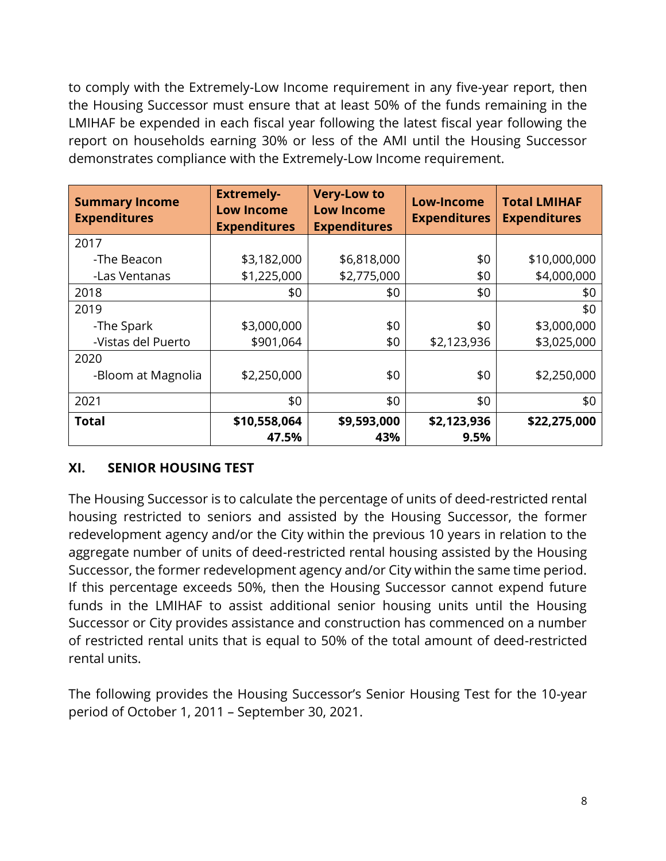to comply with the Extremely-Low Income requirement in any five-year report, then the Housing Successor must ensure that at least 50% of the funds remaining in the LMIHAF be expended in each fiscal year following the latest fiscal year following the report on households earning 30% or less of the AMI until the Housing Successor demonstrates compliance with the Extremely-Low Income requirement.

| <b>Summary Income</b><br><b>Expenditures</b> | <b>Extremely-</b><br><b>Low Income</b><br><b>Expenditures</b> | <b>Very-Low to</b><br><b>Low Income</b><br><b>Expenditures</b> | <b>Low-Income</b><br><b>Expenditures</b> | <b>Total LMIHAF</b><br><b>Expenditures</b> |
|----------------------------------------------|---------------------------------------------------------------|----------------------------------------------------------------|------------------------------------------|--------------------------------------------|
| 2017                                         |                                                               |                                                                |                                          |                                            |
| -The Beacon                                  | \$3,182,000                                                   | \$6,818,000                                                    | \$0                                      | \$10,000,000                               |
| -Las Ventanas                                | \$1,225,000                                                   | \$2,775,000                                                    | \$0                                      | \$4,000,000                                |
| 2018                                         | \$0                                                           | \$0                                                            | \$0                                      | \$0                                        |
| 2019                                         |                                                               |                                                                |                                          | \$0                                        |
| -The Spark                                   | \$3,000,000                                                   | \$0                                                            | \$0                                      | \$3,000,000                                |
| -Vistas del Puerto                           | \$901,064                                                     | \$0                                                            | \$2,123,936                              | \$3,025,000                                |
| 2020                                         |                                                               |                                                                |                                          |                                            |
| -Bloom at Magnolia                           | \$2,250,000                                                   | \$0                                                            | \$0                                      | \$2,250,000                                |
| 2021                                         | \$0                                                           | \$0                                                            | \$0                                      | \$0                                        |
| <b>Total</b>                                 | \$10,558,064<br>47.5%                                         | \$9,593,000<br>43%                                             | \$2,123,936<br>9.5%                      | \$22,275,000                               |

# **XI. SENIOR HOUSING TEST**

The Housing Successor is to calculate the percentage of units of deed-restricted rental housing restricted to seniors and assisted by the Housing Successor, the former redevelopment agency and/or the City within the previous 10 years in relation to the aggregate number of units of deed-restricted rental housing assisted by the Housing Successor, the former redevelopment agency and/or City within the same time period. If this percentage exceeds 50%, then the Housing Successor cannot expend future funds in the LMIHAF to assist additional senior housing units until the Housing Successor or City provides assistance and construction has commenced on a number of restricted rental units that is equal to 50% of the total amount of deed-restricted rental units.

The following provides the Housing Successor's Senior Housing Test for the 10-year period of October 1, 2011 – September 30, 2021.